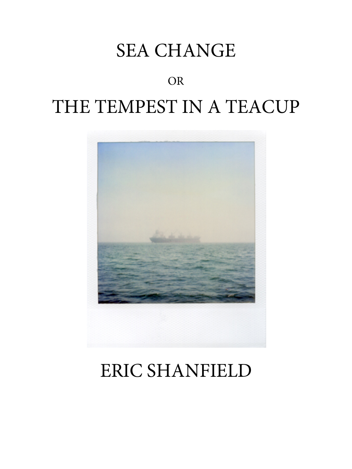# SEA CHANGE

OR

# THE TEMPEST IN A TEACUP



# ERIC SHANFIELD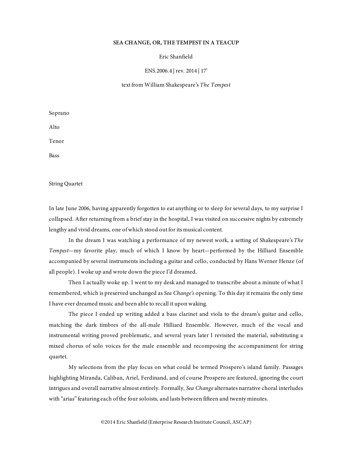#### **SEA CHANGE, OR, THE TEMPEST IN A TEACUP**

#### Eric Shanfield

#### ENS.2006.4 | rev. 2014 | 17'

#### text from William Shakespeare's *The Tempest*

Soprano

Alto

Tenor

Bass

String Quartet

In late June 2006, having apparently forgotten to eat anything or to sleep for several days, to my surprise I collapsed. After returning from a brief stay in the hospital, I was visited on successive nights by extremely lengthy and vivid dreams, one of which stood out for its musical content.

In the dream I was watching a performance of my newest work, a setting of Shakespeare's *The Tempest*—my favorite play, much of which I know by heart—performed by the Hilliard Ensemble accompanied by several instruments including a guitar and cello, conducted by Hans Werner Henze (of all people). I woke up and wrote down the piece I'd dreamed.

Then I actually woke up. I went to my desk and managed to transcribe about a minute of what I remembered, which is preserved unchanged as *Sea Change's* opening. To this day it remains the only time I have ever dreamed music and been able to recall it upon waking.

The piece I ended up writing added a bass clarinet and viola to the dream's guitar and cello, matching the dark timbres of the all-male Hilliard Ensemble. However, much of the vocal and instrumental writing proved problematic, and several years later I revisited the material, substituting a mixed chorus of solo voices for the male ensemble and recomposing the accompaniment for string quartet.

My selections from the play focus on what could be termed Prospero's island family. Passages highlighting Miranda, Caliban, Ariel, Ferdinand, and of course Prospero are featured, ignoring the court intrigues and overall narrative almost entirely. Formally, *Sea Change* alternates narrative choral interludes with "arias" featuring each of the four soloists, and lasts between fifteen and twenty minutes.

©2014 Eric Shanfield (Enterprise Research Institute Council, ASCAP)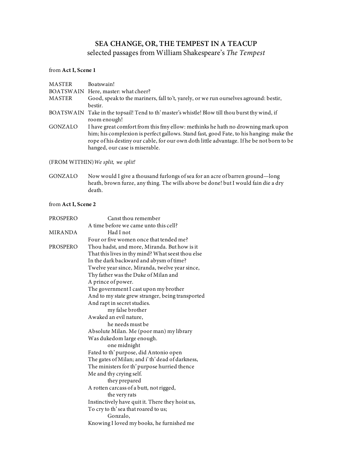## **SEA CHANGE, OR, THE TEMPEST IN A TEACUP** selected passages from William Shakespeare's *The Tempest*

#### from **Act I, Scene 1**

| <b>MASTER</b>    | Boatswain!                                                                                                                                                                                                                                                                                                 |
|------------------|------------------------------------------------------------------------------------------------------------------------------------------------------------------------------------------------------------------------------------------------------------------------------------------------------------|
|                  | BOATSWAIN Here, master: what cheer?                                                                                                                                                                                                                                                                        |
| <b>MASTER</b>    | Good, speak to the mariners, fall to't, yarely, or we run ourselves aground: bestir,<br>bestir.                                                                                                                                                                                                            |
| <b>BOATSWAIN</b> | Take in the topsail! Tend to th' master's whistle! Blow till thou burst thy wind, if<br>room enough!                                                                                                                                                                                                       |
| GONZALO          | I have great comfort from this fmy ellow: methinks he hath no drowning mark upon<br>him; his complexion is perfect gallows. Stand fast, good Fate, to his hanging: make the<br>rope of his destiny our cable, for our own doth little advantage. If he be not born to be<br>hanged, our case is miserable. |

(FROM WITHIN)*We split, we split!* 

GONZALO Now would I give a thousand furlongs of sea for an acre of barren ground—long heath, brown furze, any thing. The wills above be done! but I would fain die a dry death.

### from **Act I, Scene 2**

| PROSPERO        | Canst thou remember                               |
|-----------------|---------------------------------------------------|
|                 | A time before we came unto this cell?             |
| MIRANDA         | Had I not                                         |
|                 | Four or five women once that tended me?           |
| <b>PROSPERO</b> | Thou hadst, and more, Miranda. But how is it      |
|                 | That this lives in thy mind? What seest thou else |
|                 | In the dark backward and abysm of time?           |
|                 | Twelve year since, Miranda, twelve year since,    |
|                 | Thy father was the Duke of Milan and              |
|                 | A prince of power.                                |
|                 | The government I cast upon my brother             |
|                 | And to my state grew stranger, being transported  |
|                 | And rapt in secret studies.                       |
|                 | my false brother                                  |
|                 | Awaked an evil nature,                            |
|                 | he needs must be                                  |
|                 | Absolute Milan. Me (poor man) my library          |
|                 | Was dukedom large enough.                         |
|                 | one midnight                                      |
|                 | Fated to th' purpose, did Antonio open            |
|                 | The gates of Milan; and i'th' dead of darkness,   |
|                 | The ministers for th' purpose hurried thence      |
|                 | Me and thy crying self.                           |
|                 | they prepared                                     |
|                 | A rotten carcass of a butt, not rigged,           |
|                 | the very rats                                     |
|                 | Instinctively have quit it. There they hoist us,  |
|                 | To cry to th' sea that roared to us;              |
|                 | Gonzalo,                                          |
|                 | Knowing I loved my books, he furnished me         |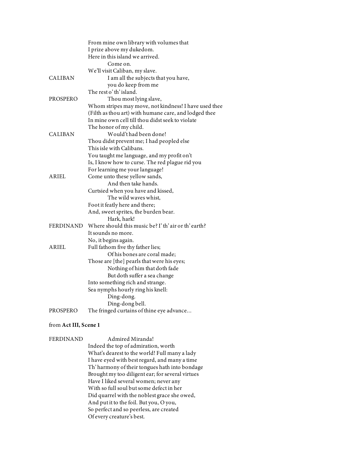|                 | From mine own library with volumes that               |
|-----------------|-------------------------------------------------------|
|                 | I prize above my dukedom.                             |
|                 | Here in this island we arrived.                       |
|                 | Come on.                                              |
|                 | We'll visit Caliban, my slave.                        |
| <b>CALIBAN</b>  | I am all the subjects that you have,                  |
|                 | you do keep from me                                   |
|                 | The rest o' th' island.                               |
| <b>PROSPERO</b> | Thou most lying slave,                                |
|                 | Whom stripes may move, not kindness! I have used thee |
|                 | (Filth as thou art) with humane care, and lodged thee |
|                 | In mine own cell till thou didst seek to violate      |
|                 | The honor of my child.                                |
| <b>CALIBAN</b>  | Would't had been done!                                |
|                 | Thou didst prevent me; I had peopled else             |
|                 | This isle with Calibans.                              |
|                 | You taught me language, and my profit on't            |
|                 | Is, I know how to curse. The red plague rid you       |
|                 | For learning me your language!                        |
| <b>ARIEL</b>    | Come unto these yellow sands,                         |
|                 | And then take hands.                                  |
|                 | Curtsied when you have and kissed,                    |
|                 | The wild waves whist,                                 |
|                 | Foot it featly here and there;                        |
|                 | And, sweet sprites, the burden bear.                  |
|                 | Hark, hark!                                           |
| FERDINAND       | Where should this music be? I' th' air or th' earth?  |
|                 | It sounds no more.                                    |
|                 | No, it begins again.                                  |
| <b>ARIEL</b>    | Full fathom five thy father lies;                     |
|                 | Of his bones are coral made;                          |
|                 | Those are [the] pearls that were his eyes;            |
|                 | Nothing of him that doth fade                         |
|                 | But doth suffer a sea change                          |
|                 | Into something rich and strange.                      |
|                 | Sea nymphs hourly ring his knell:                     |
|                 | Ding-dong.                                            |
|                 | Ding-dong bell.                                       |
| PROSPERO        | The fringed curtains of thine eye advance             |
|                 |                                                       |

## from **Act III, Scene 1**

| FERDINAND | Admired Miranda!                                 |
|-----------|--------------------------------------------------|
|           | Indeed the top of admiration, worth              |
|           | What's dearest to the world! Full many a lady    |
|           | I have eyed with best regard, and many a time    |
|           | Th' harmony of their tongues hath into bondage   |
|           | Brought my too diligent ear; for several virtues |
|           | Have I liked several women; never any            |
|           | With so full soul but some defect in her         |
|           | Did quarrel with the noblest grace she owed,     |
|           | And put it to the foil. But you, O you,          |
|           | So perfect and so peerless, are created          |
|           | Of every creature's best.                        |
|           |                                                  |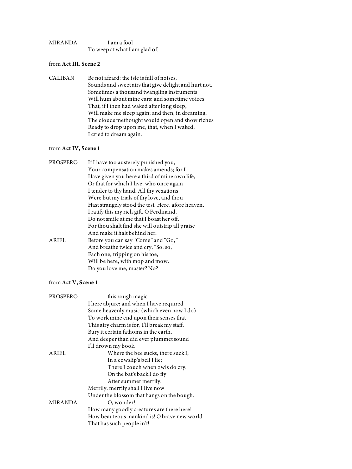| <b>MIRANDA</b> | I am a fool                   |
|----------------|-------------------------------|
|                | To weep at what I am glad of. |

### from **Act III, Scene 2**

CALIBAN Be not afeard: the isle is full of noises, Sounds and sweet airs that give delight and hurt not. Sometimes a thousand twangling instruments Will hum about mine ears; and sometime voices That, if I then had waked after long sleep, Will make me sleep again; and then, in dreaming, The clouds methought would open and show riches Ready to drop upon me, that, when I waked, I cried to dream again.

#### from **Act IV, Scene 1**

| PROSPERO     | If I have too austerely punished you,              |
|--------------|----------------------------------------------------|
|              | Your compensation makes amends; for I              |
|              | Have given you here a third of mine own life,      |
|              | Or that for which I live; who once again           |
|              | I tender to thy hand. All thy vexations            |
|              | Were but my trials of thy love, and thou           |
|              | Hast strangely stood the test. Here, afore heaven, |
|              | I ratify this my rich gift. O Ferdinand,           |
|              | Do not smile at me that I boast her off,           |
|              | For thou shalt find she will outstrip all praise   |
|              | And make it halt behind her.                       |
| <b>ARIEL</b> | Before you can say "Come" and "Go,"                |
|              | And breathe twice and cry, "So, so,"               |
|              | Each one, tripping on his toe,                     |
|              | Will be here, with mop and mow.                    |
|              | Do you love me, master? No?                        |

### from **Act V, Scene 1**

| PROSPERO     | this rough magic                             |
|--------------|----------------------------------------------|
|              | I here abjure; and when I have required      |
|              | Some heavenly music (which even now I do)    |
|              | To work mine end upon their senses that      |
|              | This airy charm is for, I'll break my staff, |
|              | Bury it certain fathoms in the earth,        |
|              | And deeper than did ever plummet sound       |
|              | I'll drown my book.                          |
| <b>ARIEL</b> | Where the bee sucks, there suck I;           |
|              | In a cowslip's bell I lie;                   |
|              | There I couch when owls do cry.              |
|              | On the bat's back I do fly                   |
|              | After summer merrily.                        |
|              | Merrily, merrily shall I live now            |
|              | Under the blossom that hangs on the bough.   |
| MIRANDA      | O, wonder!                                   |
|              | How many goodly creatures are there here!    |
|              | How beauteous mankind is! O brave new world  |
|              | That has such people in't!                   |
|              |                                              |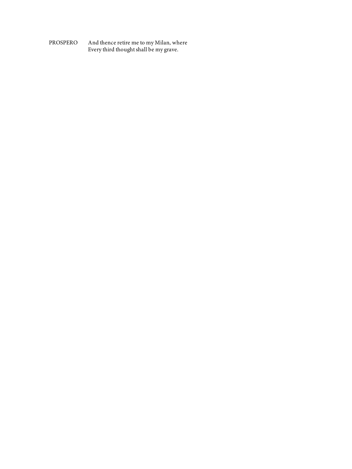PROSPERO And thence retire me to my Milan, where Every third thought shall be my grave.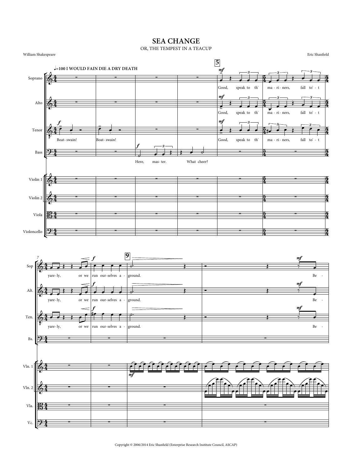## **SEA CHANGE**

### OR, THE TEMPEST IN A TEACUP

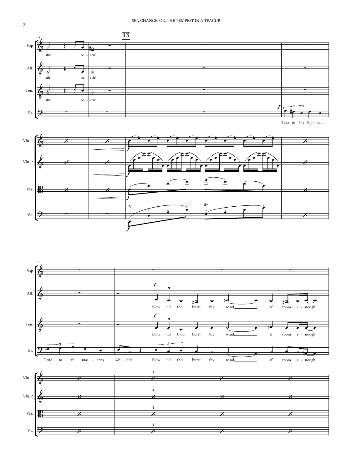



 $\overline{c}$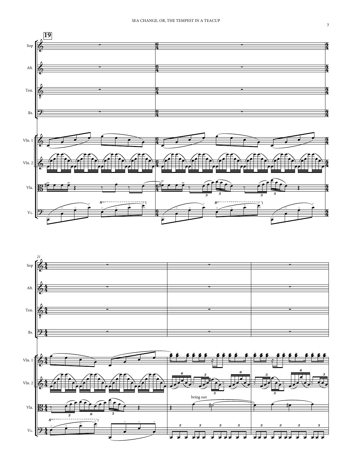

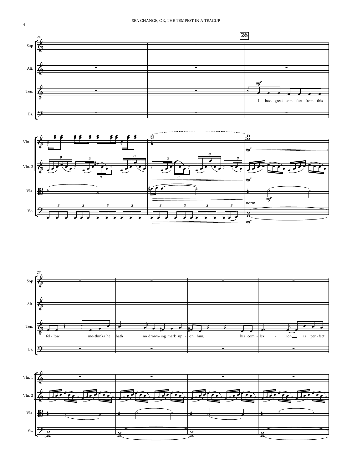

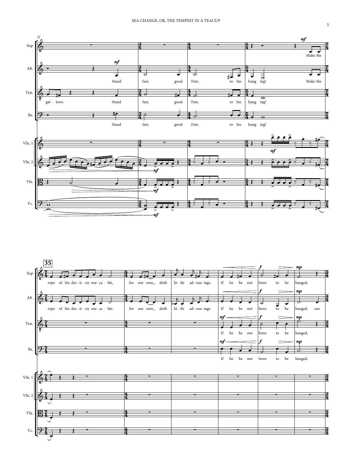

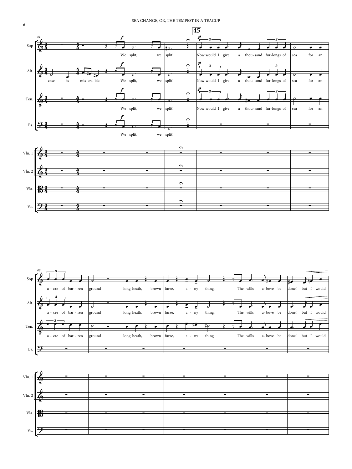

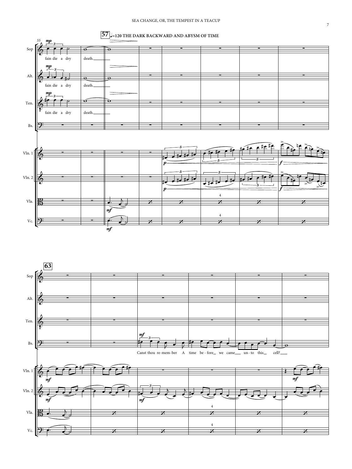

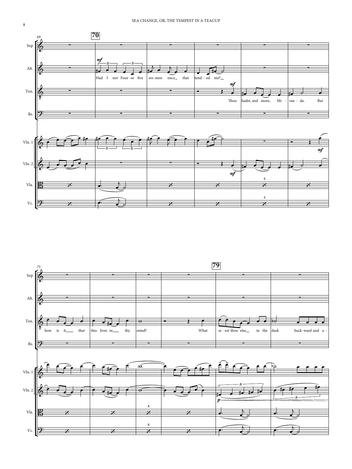

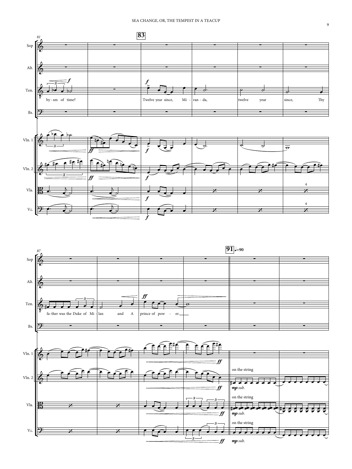



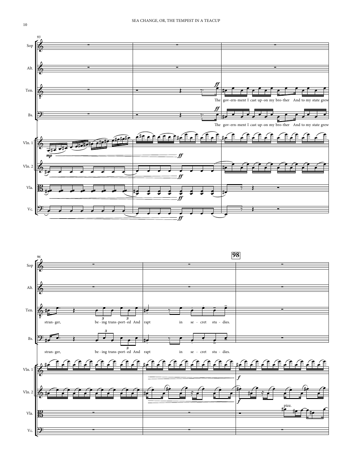

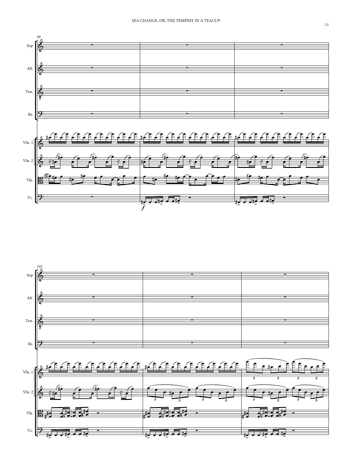

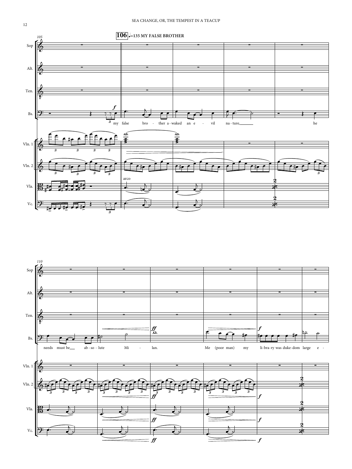

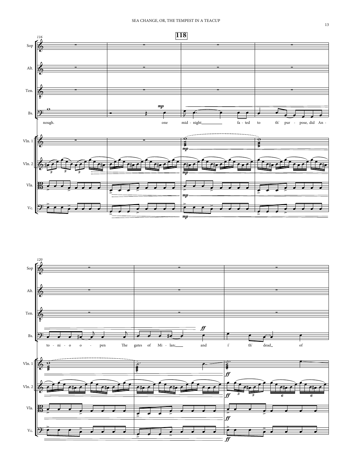

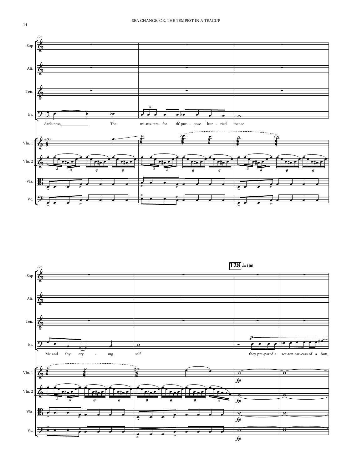



 $14\phantom{.}$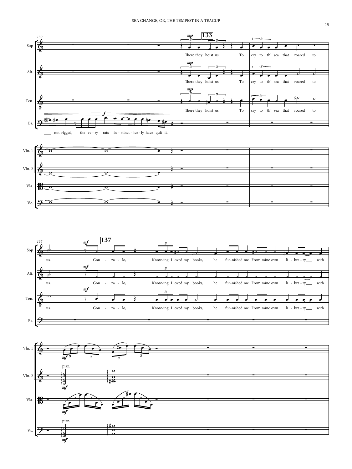

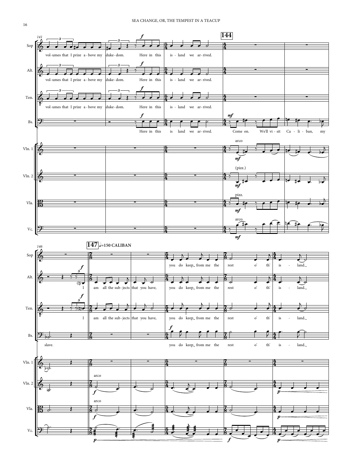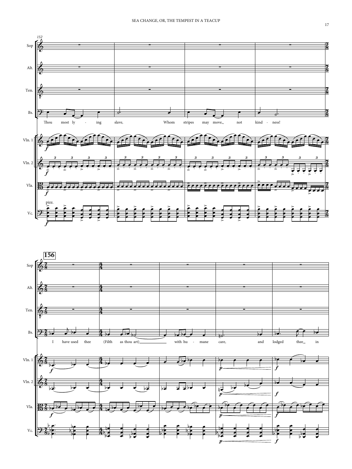

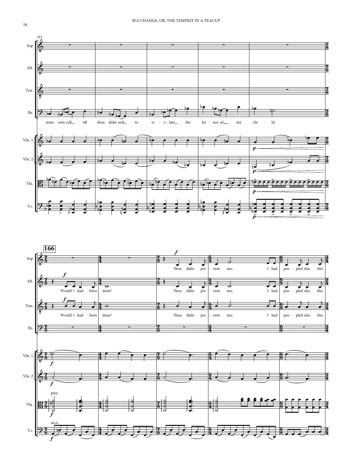



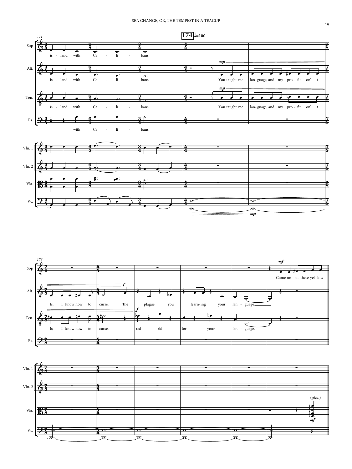

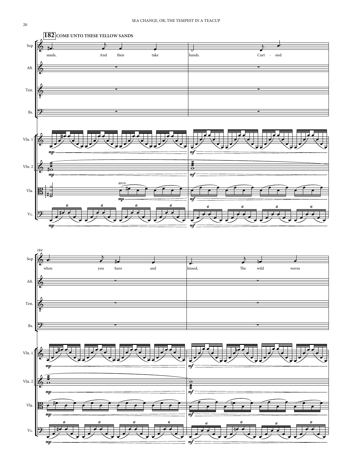



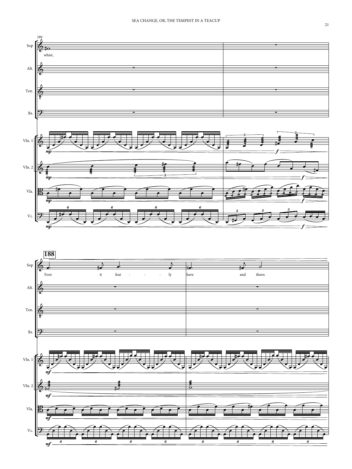

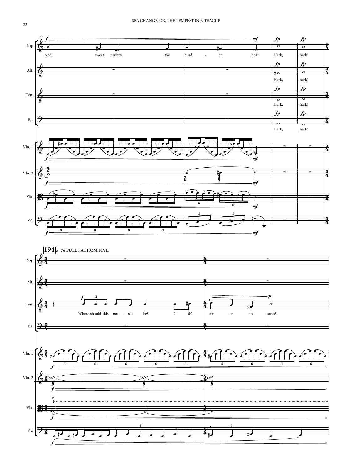

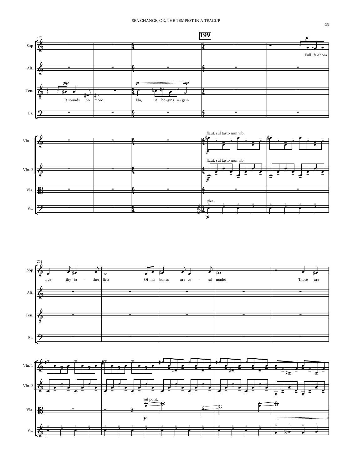

p

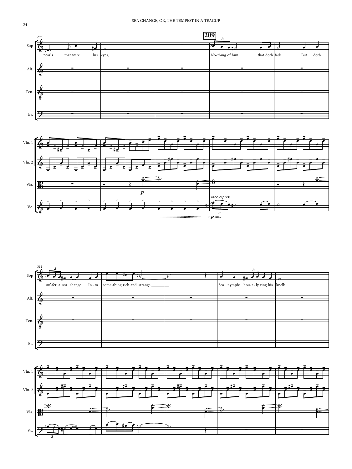

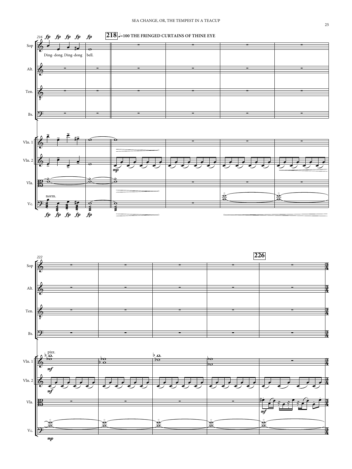

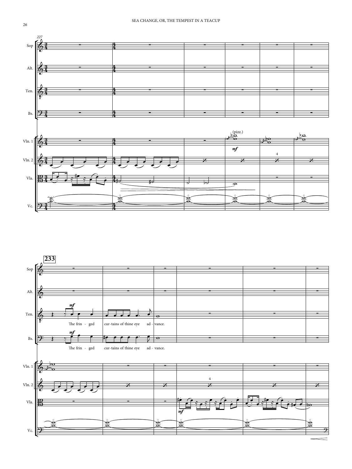



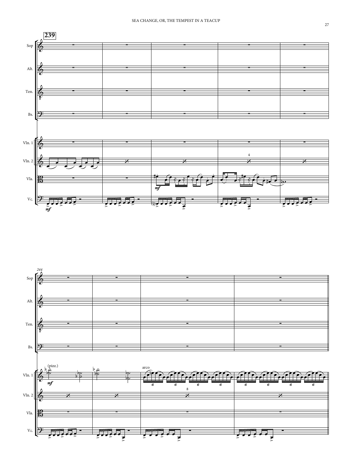

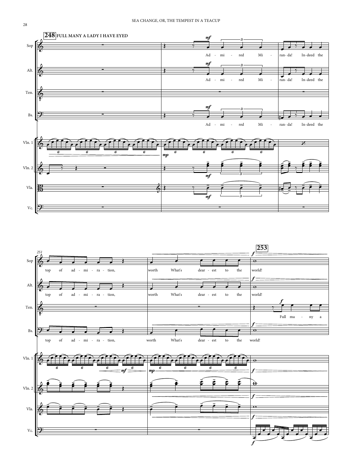

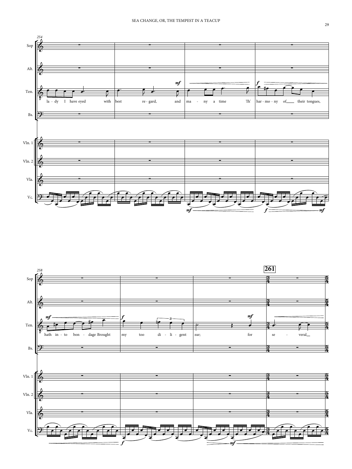

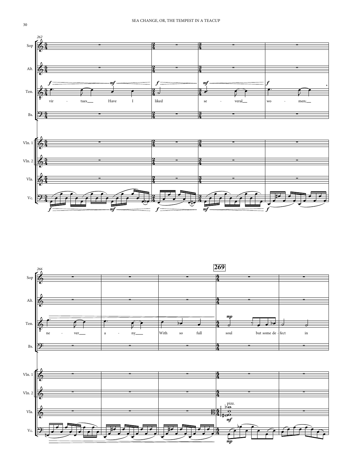

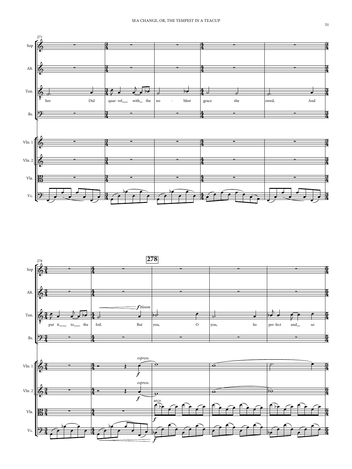

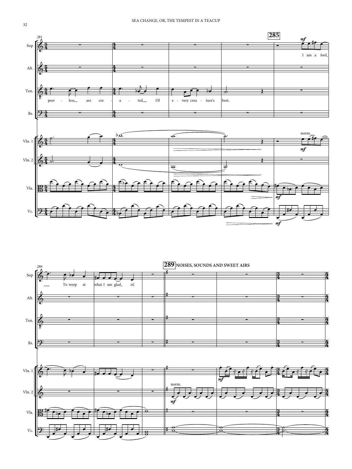

mf

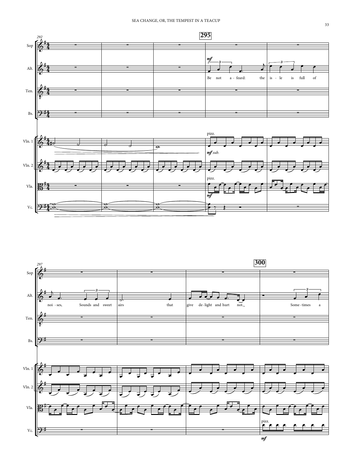

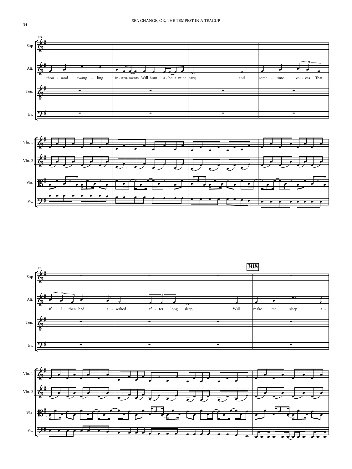



 $34\,$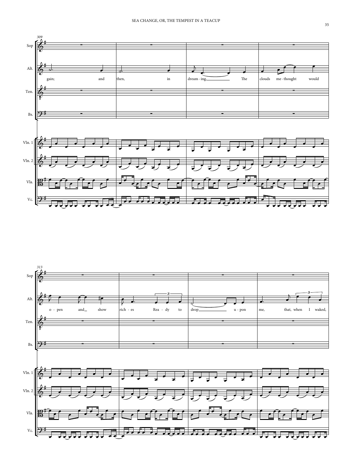

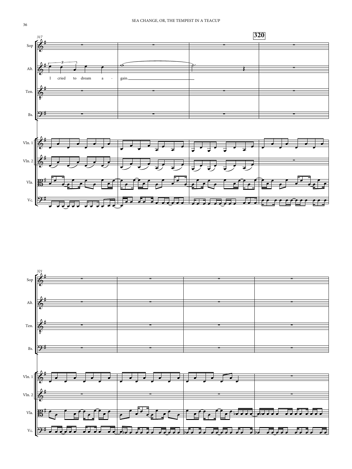



 $36\,$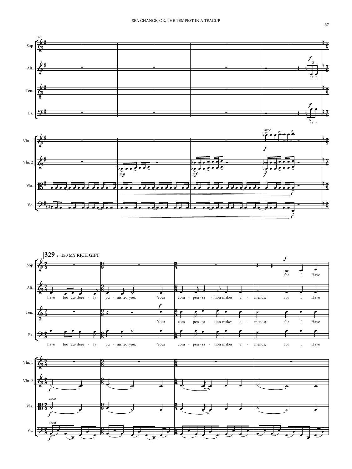

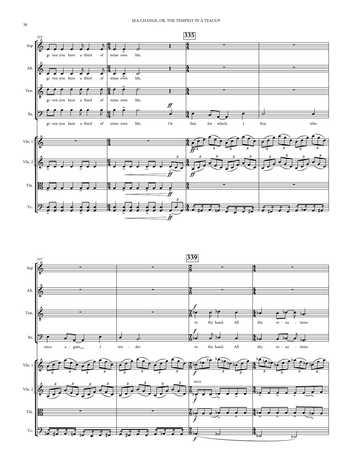

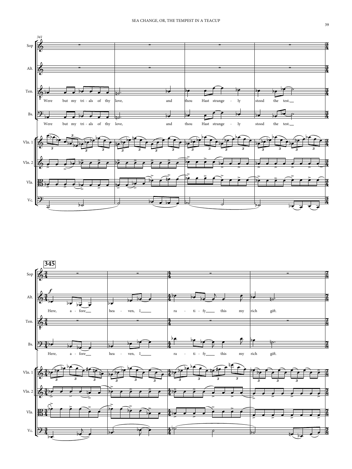

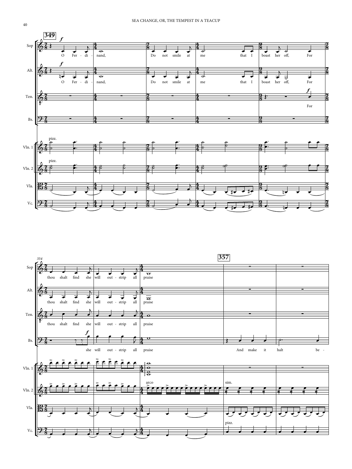![](_page_45_Figure_1.jpeg)

![](_page_45_Figure_2.jpeg)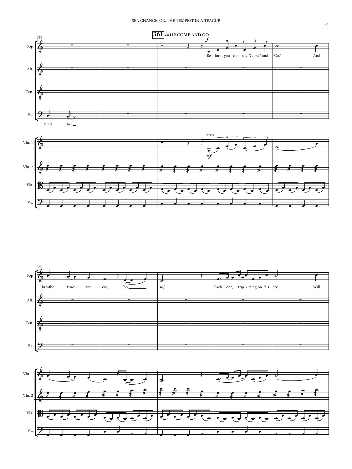![](_page_46_Figure_1.jpeg)

![](_page_46_Figure_2.jpeg)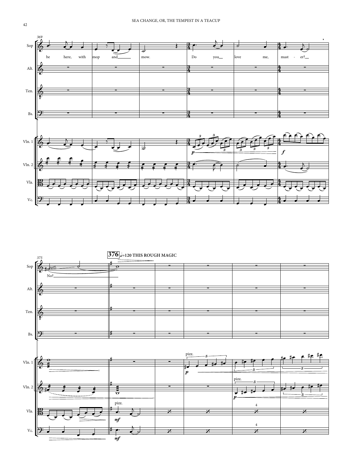![](_page_47_Figure_1.jpeg)

![](_page_47_Figure_2.jpeg)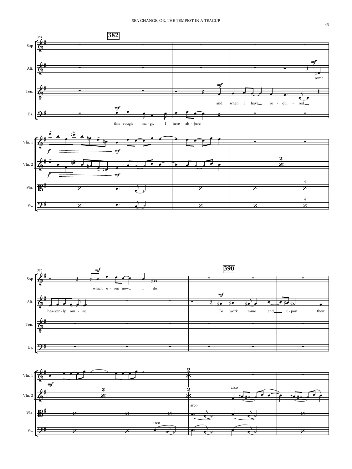![](_page_48_Figure_1.jpeg)

![](_page_48_Figure_2.jpeg)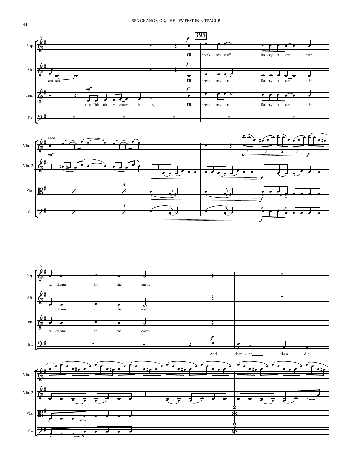![](_page_49_Figure_1.jpeg)

 $\overline{4}$ 

Z.

![](_page_49_Figure_2.jpeg)

 $\bf 44$ 

Vc.

<u>94</u>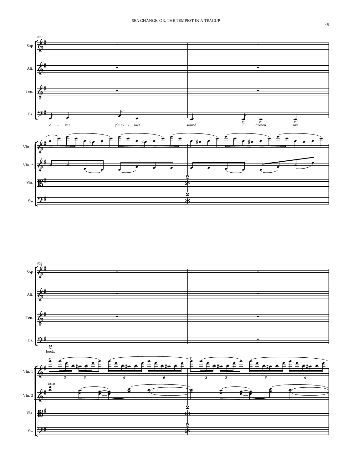![](_page_50_Figure_1.jpeg)

![](_page_50_Figure_2.jpeg)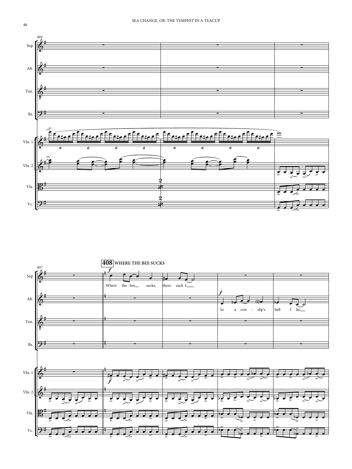![](_page_51_Figure_1.jpeg)

![](_page_51_Figure_2.jpeg)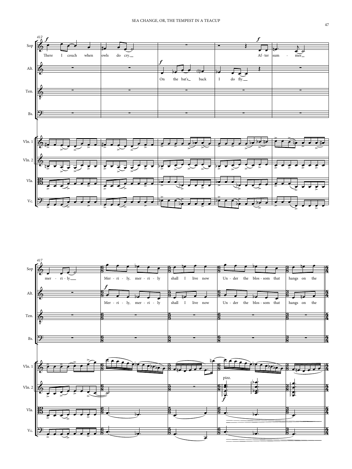![](_page_52_Figure_1.jpeg)

![](_page_52_Figure_2.jpeg)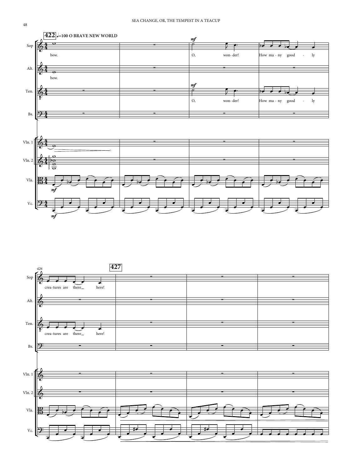![](_page_53_Figure_1.jpeg)

![](_page_53_Figure_2.jpeg)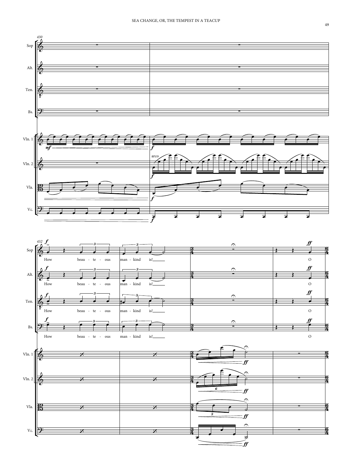![](_page_54_Figure_1.jpeg)